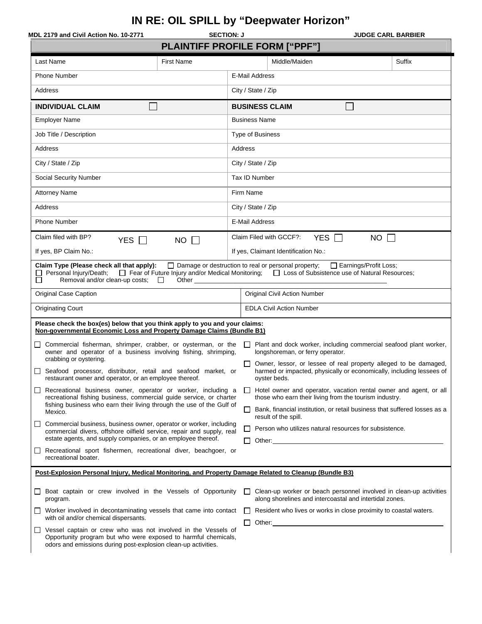## **IN RE: OIL SPILL by "Deepwater Horizon"**

| MDL 2179 and Civil Action No. 10-2771                                                                                                                                                                                        | <b>SECTION: J</b> | <b>JUDGE CARL BARBIER</b>                                                                                                                                                                 |  |  |  |  |
|------------------------------------------------------------------------------------------------------------------------------------------------------------------------------------------------------------------------------|-------------------|-------------------------------------------------------------------------------------------------------------------------------------------------------------------------------------------|--|--|--|--|
| <b>PLAINTIFF PROFILE FORM ["PPF"]</b>                                                                                                                                                                                        |                   |                                                                                                                                                                                           |  |  |  |  |
| Last Name<br><b>First Name</b>                                                                                                                                                                                               |                   | Middle/Maiden<br>Suffix                                                                                                                                                                   |  |  |  |  |
| Phone Number                                                                                                                                                                                                                 |                   | E-Mail Address                                                                                                                                                                            |  |  |  |  |
| Address                                                                                                                                                                                                                      |                   | City / State / Zip                                                                                                                                                                        |  |  |  |  |
| <b>INDIVIDUAL CLAIM</b>                                                                                                                                                                                                      |                   | <b>BUSINESS CLAIM</b>                                                                                                                                                                     |  |  |  |  |
| <b>Employer Name</b>                                                                                                                                                                                                         |                   | <b>Business Name</b>                                                                                                                                                                      |  |  |  |  |
| Job Title / Description                                                                                                                                                                                                      |                   | <b>Type of Business</b>                                                                                                                                                                   |  |  |  |  |
| Address                                                                                                                                                                                                                      |                   | Address                                                                                                                                                                                   |  |  |  |  |
| City / State / Zip                                                                                                                                                                                                           |                   | City / State / Zip                                                                                                                                                                        |  |  |  |  |
| <b>Social Security Number</b>                                                                                                                                                                                                |                   | Tax ID Number                                                                                                                                                                             |  |  |  |  |
| <b>Attorney Name</b>                                                                                                                                                                                                         |                   | Firm Name                                                                                                                                                                                 |  |  |  |  |
| Address                                                                                                                                                                                                                      |                   | City / State / Zip                                                                                                                                                                        |  |  |  |  |
| <b>Phone Number</b>                                                                                                                                                                                                          |                   | E-Mail Address                                                                                                                                                                            |  |  |  |  |
| Claim filed with BP?<br>YES $\Box$<br>$NO$ $\Box$                                                                                                                                                                            |                   | Claim Filed with GCCF?:<br>YES $\Box$<br>$NO$ $\Box$                                                                                                                                      |  |  |  |  |
| If yes, BP Claim No.:                                                                                                                                                                                                        |                   | If yes, Claimant Identification No.:                                                                                                                                                      |  |  |  |  |
| Claim Type (Please check all that apply):<br>Personal Injury/Death;<br>П<br>Removal and/or clean-up costs;<br>$\Box$<br>Other                                                                                                |                   | $\Box$ Damage or destruction to real or personal property;<br>Earnings/Profit Loss;<br>□ Fear of Future Injury and/or Medical Monitoring; □ Loss of Subsistence use of Natural Resources; |  |  |  |  |
| <b>Original Case Caption</b>                                                                                                                                                                                                 |                   | <b>Original Civil Action Number</b>                                                                                                                                                       |  |  |  |  |
| <b>Originating Court</b>                                                                                                                                                                                                     |                   | <b>EDLA Civil Action Number</b>                                                                                                                                                           |  |  |  |  |
| Please check the box(es) below that you think apply to you and your claims:<br>Non-governmental Economic Loss and Property Damage Claims (Bundle B1)                                                                         |                   |                                                                                                                                                                                           |  |  |  |  |
| Commercial fisherman, shrimper, crabber, or oysterman, or the<br>ப<br>owner and operator of a business involving fishing, shrimping,<br>crabbing or oystering.                                                               |                   | Plant and dock worker, including commercial seafood plant worker,<br>longshoreman, or ferry operator.                                                                                     |  |  |  |  |
| Seafood processor, distributor, retail and seafood market, or<br>restaurant owner and operator, or an employee thereof.                                                                                                      |                   | Owner, lessor, or lessee of real property alleged to be damaged,<br>harmed or impacted, physically or economically, including lessees of<br>oyster beds.                                  |  |  |  |  |
| Recreational business owner, operator or worker, including a<br>ப<br>recreational fishing business, commercial quide service, or charter<br>fishing business who earn their living through the use of the Gulf of<br>Mexico. |                   | Hotel owner and operator, vacation rental owner and agent, or all<br>$\perp$<br>those who earn their living from the tourism industry.                                                    |  |  |  |  |
|                                                                                                                                                                                                                              |                   | ப<br>Bank, financial institution, or retail business that suffered losses as a<br>result of the spill.                                                                                    |  |  |  |  |
| Commercial business, business owner, operator or worker, including<br>ப<br>commercial divers, offshore oilfield service, repair and supply, real                                                                             |                   | Person who utilizes natural resources for subsistence.<br>ப                                                                                                                               |  |  |  |  |
| estate agents, and supply companies, or an employee thereof.                                                                                                                                                                 |                   |                                                                                                                                                                                           |  |  |  |  |
| Recreational sport fishermen, recreational diver, beachgoer, or<br>ப<br>recreational boater.                                                                                                                                 |                   |                                                                                                                                                                                           |  |  |  |  |
| Post-Explosion Personal Injury, Medical Monitoring, and Property Damage Related to Cleanup (Bundle B3)                                                                                                                       |                   |                                                                                                                                                                                           |  |  |  |  |
| Boat captain or crew involved in the Vessels of Opportunity<br>ப<br>program.                                                                                                                                                 |                   | Clean-up worker or beach personnel involved in clean-up activities<br>$\Box$<br>along shorelines and intercoastal and intertidal zones.                                                   |  |  |  |  |
| $\Box$ Worker involved in decontaminating vessels that came into contact<br>with oil and/or chemical dispersants.                                                                                                            |                   | Resident who lives or works in close proximity to coastal waters.<br>$\Box$                                                                                                               |  |  |  |  |
| □ Vessel captain or crew who was not involved in the Vessels of<br>Opportunity program but who were exposed to harmful chemicals,<br>odors and emissions during post-explosion clean-up activities.                          |                   | $\Box$ Other:                                                                                                                                                                             |  |  |  |  |